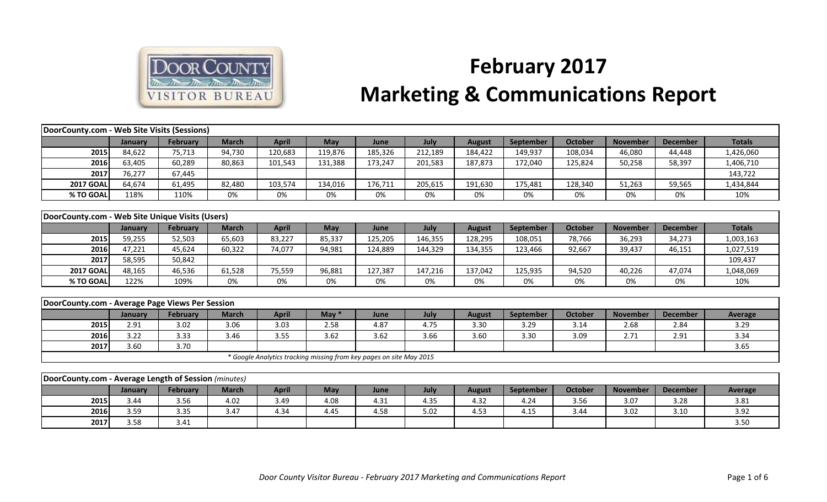

## **February 2017 Marketing & Communications Report**

| DoorCounty.com - Web Site Visits (Sessions)          |                |                 |              |              |                                                                     |         |         |               |                  |                |                 |                 |               |
|------------------------------------------------------|----------------|-----------------|--------------|--------------|---------------------------------------------------------------------|---------|---------|---------------|------------------|----------------|-----------------|-----------------|---------------|
|                                                      | January        | February        | <b>March</b> | <b>April</b> | May                                                                 | June    | July    | <b>August</b> | September        | <b>October</b> | <b>November</b> | <b>December</b> | <b>Totals</b> |
| 2015                                                 | 84,622         | 75,713          | 94,730       | 120,683      | 119,876                                                             | 185,326 | 212,189 | 184,422       | 149,937          | 108,034        | 46,080          | 44,448          | 1,426,060     |
| 2016                                                 | 63,405         | 60,289          | 80,863       | 101,543      | 131,388                                                             | 173,247 | 201,583 | 187,873       | 172,040          | 125,824        | 50,258          | 58,397          | 1,406,710     |
| 2017                                                 | 76,277         | 67,445          |              |              |                                                                     |         |         |               |                  |                |                 |                 | 143,722       |
| <b>2017 GOAL</b>                                     | 64,674         | 61,495          | 82,480       | 103,574      | 134,016                                                             | 176,711 | 205,615 | 191,630       | 175,481          | 128,340        | 51,263          | 59,565          | 1,434,844     |
| % TO GOAL                                            | 118%           | 110%            | 0%           | 0%           | 0%                                                                  | 0%      | 0%      | 0%            | 0%               | 0%             | 0%              | 0%              | 10%           |
|                                                      |                |                 |              |              |                                                                     |         |         |               |                  |                |                 |                 |               |
| DoorCounty.com - Web Site Unique Visits (Users)      |                |                 |              |              |                                                                     |         |         |               |                  |                |                 |                 |               |
|                                                      | January        | February        | <b>March</b> | <b>April</b> | May                                                                 | June    | July    | <b>August</b> | September        | <b>October</b> | <b>November</b> | <b>December</b> | <b>Totals</b> |
| 2015                                                 | 59,255         | 52,503          | 65,603       | 83,227       | 85,337                                                              | 125,205 | 146,355 | 128,295       | 108,051          | 78,766         | 36,293          | 34,273          | 1,003,163     |
| 2016                                                 | 47,221         | 45,624          | 60,322       | 74,077       | 94,981                                                              | 124,889 | 144,329 | 134,355       | 123,466          | 92,667         | 39,437          | 46,151          | 1,027,519     |
| 2017                                                 | 58,595         | 50,842          |              |              |                                                                     |         |         |               |                  |                |                 |                 | 109,437       |
| <b>2017 GOAL</b>                                     | 48,165         | 46,536          | 61,528       | 75,559       | 96,881                                                              | 127,387 | 147,216 | 137,042       | 125,935          | 94,520         | 40,226          | 47,074          | 1,048,069     |
| % TO GOAL                                            | 122%           | 109%            | 0%           | 0%           | 0%                                                                  | 0%      | 0%      | 0%            | 0%               | 0%             | 0%              | 0%              | 10%           |
|                                                      |                |                 |              |              |                                                                     |         |         |               |                  |                |                 |                 |               |
| DoorCounty.com - Average Page Views Per Session      |                |                 |              |              |                                                                     |         |         |               |                  |                |                 |                 |               |
|                                                      | January        | <b>February</b> | <b>March</b> | <b>April</b> | May $*$                                                             | June    | July    | <b>August</b> | <b>September</b> | <b>October</b> | <b>November</b> | <b>December</b> | Average       |
| 2015                                                 | 2.91           | 3.02            | 3.06         | 3.03         | 2.58                                                                | 4.87    | 4.75    | 3.30          | 3.29             | 3.14           | 2.68            | 2.84            | 3.29          |
| 2016                                                 | 3.22           | 3.33            | 3.46         | 3.55         | 3.62                                                                | 3.62    | 3.66    | 3.60          | 3.30             | 3.09           | 2.71            | 2.91            | 3.34          |
| 2017                                                 | 3.60           | 3.70            |              |              |                                                                     |         |         |               |                  |                |                 |                 | 3.65          |
|                                                      |                |                 |              |              | * Google Analytics tracking missing from key pages on site May 2015 |         |         |               |                  |                |                 |                 |               |
|                                                      |                |                 |              |              |                                                                     |         |         |               |                  |                |                 |                 |               |
| DoorCounty.com - Average Length of Session (minutes) |                |                 |              |              |                                                                     |         |         |               |                  |                |                 |                 |               |
|                                                      | <b>January</b> | <b>February</b> | <b>March</b> | <b>April</b> | May                                                                 | June    | July    | <b>August</b> | September        | <b>October</b> | <b>November</b> | <b>December</b> | Average       |
| 2015                                                 | 3.44           | 3.56            | 4.02         | 3.49         | 4.08                                                                | 4.31    | 4.35    | 4.32          | 4.24             | 3.56           | 3.07            | 3.28            | 3.81          |
| 2016                                                 | 3.59           | 3.35            | 3.47         | 4.34         | 4.45                                                                | 4.58    | 5.02    | 4.53          | 4.15             | 3.44           | 3.02            | 3.10            | 3.92          |
| 2017                                                 | 3.58           | 3.41            |              |              |                                                                     |         |         |               |                  |                |                 |                 | 3.50          |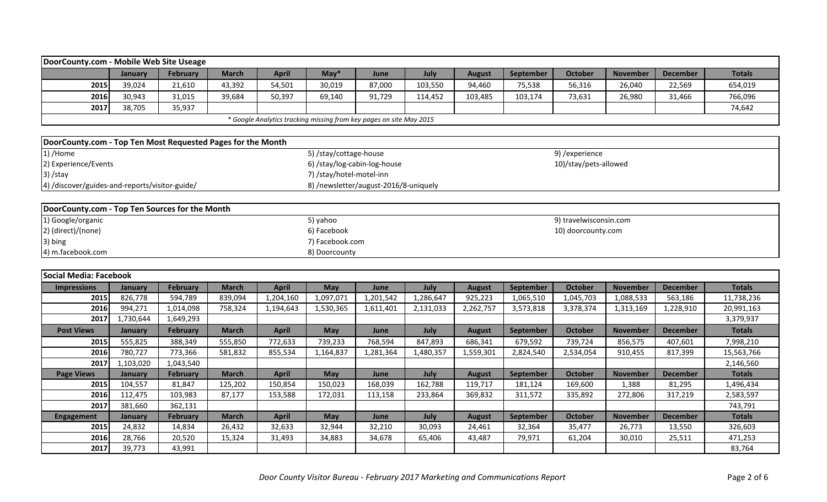| DoorCounty.com - Mobile Web Site Useage                     |                |                 |              |                                                                     |                              |                                       |           |               |           |                        |                 |                 |               |
|-------------------------------------------------------------|----------------|-----------------|--------------|---------------------------------------------------------------------|------------------------------|---------------------------------------|-----------|---------------|-----------|------------------------|-----------------|-----------------|---------------|
|                                                             | January        | <b>February</b> | <b>March</b> | <b>April</b>                                                        | $May*$                       | June                                  | July      | <b>August</b> | September | <b>October</b>         | <b>November</b> | <b>December</b> | <b>Totals</b> |
| 2015                                                        | 39,024         | 21,610          | 43,392       | 54,501                                                              | 30,019                       | 87,000                                | 103,550   | 94,460        | 75,538    | 56,316                 | 26,040          | 22,569          | 654,019       |
| 2016                                                        | 30,943         | 31,015          | 39,684       | 50,397                                                              | 69,140                       | 91,729                                | 114,452   | 103,485       | 103,174   | 73,631                 | 26,980          | 31,466          | 766,096       |
| 2017                                                        | 38,705         | 35,937          |              |                                                                     |                              |                                       |           |               |           |                        |                 |                 | 74,642        |
|                                                             |                |                 |              | * Google Analytics tracking missing from key pages on site May 2015 |                              |                                       |           |               |           |                        |                 |                 |               |
|                                                             |                |                 |              |                                                                     |                              |                                       |           |               |           |                        |                 |                 |               |
| DoorCounty.com - Top Ten Most Requested Pages for the Month |                |                 |              |                                                                     |                              |                                       |           |               |           |                        |                 |                 |               |
| 1) /Home                                                    |                |                 |              |                                                                     | 5) /stay/cottage-house       |                                       |           |               |           | 9) /experience         |                 |                 |               |
| 2) Experience/Events                                        |                |                 |              |                                                                     | 6) /stay/log-cabin-log-house |                                       |           |               |           | 10)/stay/pets-allowed  |                 |                 |               |
| 3) /stay                                                    |                |                 |              |                                                                     | 7) /stay/hotel-motel-inn     |                                       |           |               |           |                        |                 |                 |               |
| 4) /discover/guides-and-reports/visitor-guide/              |                |                 |              |                                                                     |                              | 8) /newsletter/august-2016/8-uniquely |           |               |           |                        |                 |                 |               |
|                                                             |                |                 |              |                                                                     |                              |                                       |           |               |           |                        |                 |                 |               |
| DoorCounty.com - Top Ten Sources for the Month              |                |                 |              |                                                                     |                              |                                       |           |               |           |                        |                 |                 |               |
| 1) Google/organic                                           |                |                 |              |                                                                     | 5) yahoo                     |                                       |           |               |           | 9) travelwisconsin.com |                 |                 |               |
| 2) (direct)/(none)                                          |                |                 |              |                                                                     | 6) Facebook                  |                                       |           |               |           | 10) doorcounty.com     |                 |                 |               |
| 3) bing                                                     |                |                 |              |                                                                     | 7) Facebook.com              |                                       |           |               |           |                        |                 |                 |               |
| 4) m.facebook.com                                           |                |                 |              |                                                                     | 8) Doorcounty                |                                       |           |               |           |                        |                 |                 |               |
|                                                             |                |                 |              |                                                                     |                              |                                       |           |               |           |                        |                 |                 |               |
| <b>Social Media: Facebook</b>                               |                |                 |              |                                                                     |                              |                                       |           |               |           |                        |                 |                 |               |
| <b>Impressions</b>                                          | <b>January</b> | February        | <b>March</b> | <b>April</b>                                                        | May                          | June                                  | July      | <b>August</b> | September | October                | <b>November</b> | <b>December</b> | <b>Totals</b> |
| 2015                                                        | 826,778        | 594,789         | 839,094      | 1,204,160                                                           | 1,097,071                    | 1,201,542                             | 1,286,647 | 925,223       | 1,065,510 | 1,045,703              | 1,088,533       | 563,186         | 11,738,236    |
| 2016                                                        | 994,271        | 1,014,098       | 758,324      | 1,194,643                                                           | 1,530,365                    | 1,611,401                             | 2,131,033 | 2,262,757     | 3,573,818 | 3,378,374              | 1,313,169       | 1,228,910       | 20,991,163    |
| 2017                                                        | 1,730,644      | 1,649,293       |              |                                                                     |                              |                                       |           |               |           |                        |                 |                 | 3,379,937     |
| <b>Post Views</b>                                           | January        | February        | <b>March</b> | <b>April</b>                                                        | May                          | June                                  | July      | <b>August</b> | September | <b>October</b>         | <b>November</b> | <b>December</b> | <b>Totals</b> |
| 2015                                                        | 555,825        | 388,349         | 555,850      | 772,633                                                             | 739,233                      | 768,594                               | 847,893   | 686,341       | 679,592   | 739,724                | 856,575         | 407,601         | 7,998,210     |
| 2016                                                        | 780,727        | 773,366         | 581,832      | 855,534                                                             | 1,164,837                    | 1,281,364                             | 1,480,357 | 1,559,301     | 2,824,540 | 2,534,054              | 910,455         | 817,399         | 15,563,766    |
| 2017                                                        | 1,103,020      | 1,043,540       |              |                                                                     |                              |                                       |           |               |           |                        |                 |                 | 2,146,560     |
| <b>Page Views</b>                                           | <b>January</b> | February        | <b>March</b> | <b>April</b>                                                        | May                          | June                                  | July      | <b>August</b> | September | <b>October</b>         | <b>November</b> | <b>December</b> | <b>Totals</b> |
| 2015                                                        | 104,557        | 81,847          | 125,202      | 150,854                                                             | 150,023                      | 168,039                               | 162,788   | 119,717       | 181,124   | 169,600                | 1,388           | 81,295          | 1,496,434     |
| 2016                                                        | 112,475        | 103,983         | 87,177       | 153,588                                                             | 172,031                      | 113,158                               | 233,864   | 369,832       | 311,572   | 335,892                | 272,806         | 317,219         | 2,583,597     |
| 2017                                                        | 381,660        | 362,131         |              |                                                                     |                              |                                       |           |               |           |                        |                 |                 | 743,791       |
| <b>Engagement</b>                                           | <b>January</b> | February        | <b>March</b> | <b>April</b>                                                        | May                          | June                                  | July      | <b>August</b> | September | <b>October</b>         | <b>November</b> | <b>December</b> | <b>Totals</b> |
| 2015                                                        | 24,832         | 14,834          | 26,432       | 32,633                                                              | 32,944                       | 32,210                                | 30,093    | 24,461        | 32,364    | 35,477                 | 26,773          | 13,550          | 326,603       |

**2016** 28,766 | 20,520 | 15,324 | 31,493 | 34,883 | 34,678 | 65,406 | 43,487 | 79,971 | 61,204 | 30,010 | 25,511 | 471,253 **2017** 39,773 43,991 30,764 (1990) 2017 83,764 (1991) 83,764 (1991) 83,764 (1991) 83,764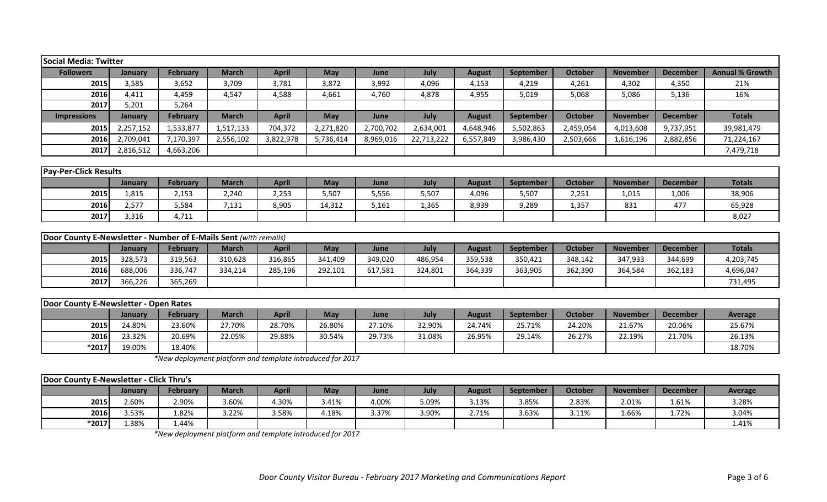| Social Media: Twitter                                                   |                |                 |              |              |                 |           |             |               |                  |                |                 |                 |                        |
|-------------------------------------------------------------------------|----------------|-----------------|--------------|--------------|-----------------|-----------|-------------|---------------|------------------|----------------|-----------------|-----------------|------------------------|
| <b>Followers</b>                                                        | <b>January</b> | February        | <b>March</b> | <b>April</b> | <b>May</b>      | June      | July        | <b>August</b> | September        | <b>October</b> | <b>November</b> | <b>December</b> | <b>Annual % Growth</b> |
| 2015                                                                    | 3,585          | 3,652           | 3,709        | 3,781        | 3,872           | 3,992     | 4,096       | 4,153         | 4,219            | 4,261          | 4,302           | 4,350           | 21%                    |
| 2016                                                                    | 4,411          | 4,459           | 4,547        | 4,588        | 4,661           | 4,760     | 4,878       | 4,955         | 5,019            | 5,068          | 5,086           | 5,136           | 16%                    |
| 2017                                                                    | 5,201          | 5,264           |              |              |                 |           |             |               |                  |                |                 |                 |                        |
| <b>Impressions</b>                                                      | <b>January</b> | <b>February</b> | <b>March</b> | <b>April</b> | <b>May</b>      | June      | July        | <b>August</b> | September        | <b>October</b> | <b>November</b> | <b>December</b> | <b>Totals</b>          |
| 2015                                                                    | 2,257,152      | 1,533,877       | 1,517,133    | 704,372      | 2,271,820       | 2,700,702 | 2,634,001   | 4,648,946     | 5,502,863        | 2,459,054      | 4,013,608       | 9,737,951       | 39,981,479             |
| 2016                                                                    | 2,709,041      | 7,170,397       | 2,556,102    | 3,822,978    | 5,736,414       | 8,969,016 | 22,713,222  | 6,557,849     | 3,986,430        | 2,503,666      | 1,616,196       | 2,882,856       | 71,224,167             |
| 2017                                                                    | 2,816,512      | 4,663,206       |              |              |                 |           |             |               |                  |                |                 |                 | 7,479,718              |
|                                                                         |                |                 |              |              |                 |           |             |               |                  |                |                 |                 |                        |
| <b>Pay-Per-Click Results</b>                                            |                |                 |              |              |                 |           |             |               |                  |                |                 |                 |                        |
|                                                                         | <b>January</b> | February        | <b>March</b> | <b>April</b> | <b>May</b>      | June      | July        | <b>August</b> | September        | <b>October</b> | <b>November</b> | <b>December</b> | <b>Totals</b>          |
| 2015                                                                    | 1,815          | 2,153           | 2,240        | 2,253        | 5,507           | 5,556     | 5,507       | 4,096         | 5,507            | 2,251          | 1,015           | 1,006           | 38,906                 |
| 2016                                                                    | 2,577          | 5,584           | 7,131        | 8,905        | 14,312          | 5,161     | 1,365       | 8,939         | 9,289            | 1,357          | 831             | 477             | 65,928                 |
| 2017                                                                    | 3,316          | 4,711           |              |              |                 |           |             |               |                  |                |                 |                 | 8,027                  |
|                                                                         |                |                 |              |              |                 |           |             |               |                  |                |                 |                 |                        |
| <b>Door County E-Newsletter - Number of E-Mails Sent (with remails)</b> |                |                 |              |              |                 |           |             |               |                  |                |                 |                 |                        |
|                                                                         | <b>Innuary</b> | <b>Echrupry</b> | March        | <b>Anril</b> | M <sub>2V</sub> | lung      | <b>Indy</b> | August        | <b>Contambor</b> | October        | <b>November</b> | December        | Totalc                 |

|      | <b>January</b> | Februarv | March   | April   | May     | June    | July    | August  | <b>September</b> | <b>October</b> | <b>November</b> | <b>December</b> | <b>Totals</b> |
|------|----------------|----------|---------|---------|---------|---------|---------|---------|------------------|----------------|-----------------|-----------------|---------------|
| 2015 | 328.573        | 319,563  | 310,628 | 316,865 | 341,409 | 349,020 | 486,954 | 359,538 | 350,421          | 348,142        | 347,933         | 344,699         | 4,203,745     |
| 2016 | 588,006        | 336,747  | 334,214 | 285,196 | 292,101 | 517,581 | 324,801 | 364,339 | 363,905          | 362,390        | 364,584         | 362,183         | 4,696,047     |
| 2017 | 366,226        | 365,269  |         |         |         |         |         |         |                  |                |                 |                 | 731,495       |

| Door County E-Newsletter - Open Rates |         |          |        |        |        |        |        |        |                  |         |          |                 |         |
|---------------------------------------|---------|----------|--------|--------|--------|--------|--------|--------|------------------|---------|----------|-----------------|---------|
|                                       | January | February | March  | April  | May    | June   | July   | August | <b>September</b> | October | November | <b>December</b> | Average |
| 2015                                  | 24.80%  | 23.60%   | 27.70% | 28.70% | 26.80% | 27.10% | 32.90% | 24.74% | 25.71%           | 24.20%  | 21.67%   | 20.06%          | 25.67%  |
| 2016                                  | 23.32%  | 20.69%   | 22.05% | 29.88% | 30.54% | 29.73% | 31.08% | 26.95% | 29.14%           | 26.27%  | 22.19%   | 21.70%          | 26.13%  |
| *2017                                 | 19.00%  | 18.40%   |        |        |        |        |        |        |                  |         |          |                 | 18.70%  |

*\*New deployment platform and template introduced for 2017*

| Door County E-Newsletter - Click Thru's |         |          |              |       |            |       |       |        |           |         |                 |                 |                |
|-----------------------------------------|---------|----------|--------------|-------|------------|-------|-------|--------|-----------|---------|-----------------|-----------------|----------------|
|                                         | Januarv | February | <b>March</b> | April | <b>May</b> | June  | July  | August | September | October | <b>November</b> | <b>December</b> | <b>Average</b> |
| 2015                                    | 2.60%   | 2.90%    | 3.60%        | 1.30% | 3.41%      | 4.00% | 5.09% | 3.13%  | 3.85%     | 2.83%   | 2.01%           | 1.61%           | 3.28%          |
| 2016                                    | 3.53%   | 82%،     | 3.22%        | 8.58% | 4.18%      | 3.37% | 3.90% | 2.71%  | 3.63%     | 3.11%   | 1.66%           | 1.72%           | 3.04%          |
| *2017                                   | 1.38%   | 1.44%    |              |       |            |       |       |        |           |         |                 |                 | 1.41%          |

*\*New deployment platform and template introduced for 2017*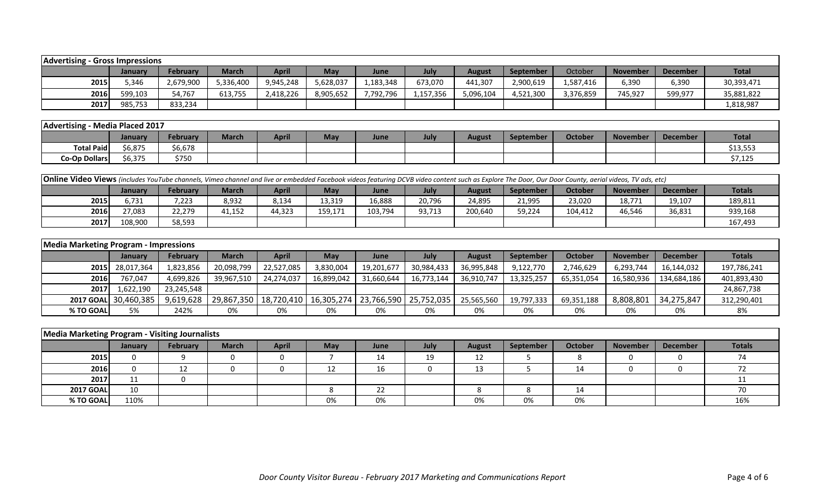| <b>Advertising</b> | - Gross Impressions |           |              |           |           |           |           |           |                  |           |                 |                 |              |
|--------------------|---------------------|-----------|--------------|-----------|-----------|-----------|-----------|-----------|------------------|-----------|-----------------|-----------------|--------------|
|                    | January             | February  | <b>March</b> | April     | May       | June      | July      | August    | <b>September</b> | October   | <b>November</b> | <b>December</b> | <b>Total</b> |
| 2015               | 5.346               | 2,679,900 | 5,336,400    | 9,945,248 | 5,628,037 | 1,183,348 | 673,070   | 441,307   | 2,900,619        | 1,587,416 | 6,390           | 6,390           | 30,393,471   |
| 2016               | 599,103             | 54,767    | 613,755      | 2,418,226 | 8,905,652 | 7,792,796 | 1,157,356 | 5,096,104 | 4,521,300        | 3,376,859 | 745,927         | 599,977         | 35,881,822   |
| 2017               | 985,753             | 833,234   |              |           |           |           |           |           |                  |           |                 |                 | 1,818,987    |

| Advertising       | Media Placed 2017 |                 |              |              |     |      |      |               |           |         |                 |          |              |
|-------------------|-------------------|-----------------|--------------|--------------|-----|------|------|---------------|-----------|---------|-----------------|----------|--------------|
|                   | January           | <b>February</b> | <b>March</b> | <b>April</b> | May | June | July | <b>August</b> | September | October | <b>November</b> | December | <b>Total</b> |
| <b>Total Paid</b> | 6,875             | 6,678م          |              |              |     |      |      |               |           |         |                 |          | \$13,553     |
| Co-Op Dollars     | 6,375             | \$750           |              |              |     |      |      |               |           |         |                 |          | \$7,125      |

| <b>Online Video Views</b> (includes YouTube channels, Vimeo channel and live or embedded Facebook videos featuring DCVB video content such as Explore The Door, Our Door County, aerial videos, TV ads, etc) |                                                                                                                                                                                                 |        |        |        |         |         |        |         |        |         |        |        |         |  |
|--------------------------------------------------------------------------------------------------------------------------------------------------------------------------------------------------------------|-------------------------------------------------------------------------------------------------------------------------------------------------------------------------------------------------|--------|--------|--------|---------|---------|--------|---------|--------|---------|--------|--------|---------|--|
|                                                                                                                                                                                                              | <b>April</b><br><b>Totals</b><br>October<br><b>February</b><br><b>March</b><br><b>September</b><br>July<br><b>November</b><br>May<br><b>June</b><br><b>December</b><br><b>August</b><br>January |        |        |        |         |         |        |         |        |         |        |        |         |  |
| 2015                                                                                                                                                                                                         | 5.731                                                                                                                                                                                           | 7,223  | 8,932  | 8,134  | 13,319  | 16,888  | 20,796 | 24,895  | 21,995 | 23,020  | 18,771 | 19,107 | 189,811 |  |
| 2016                                                                                                                                                                                                         | 27,083                                                                                                                                                                                          | 22,279 | 11,152 | 44,323 | 159,171 | 103,794 | 93,713 | 200,640 | 59,224 | 104,412 | 46,546 | 36,831 | 939,168 |  |
| 2017                                                                                                                                                                                                         | 108,900                                                                                                                                                                                         | 58,593 |        |        |         |         |        |         |        |         |        |        | 167.493 |  |

| <b>Media Marketing Program - Impressions</b> |                      |                 |              |                                                                |            |            |            |               |                  |            |                 |                 |               |
|----------------------------------------------|----------------------|-----------------|--------------|----------------------------------------------------------------|------------|------------|------------|---------------|------------------|------------|-----------------|-----------------|---------------|
|                                              | <b>January</b>       | <b>February</b> | <b>March</b> | <b>April</b>                                                   | May        | June       | July       | <b>August</b> | <b>September</b> | October    | <b>November</b> | <b>December</b> | <b>Totals</b> |
|                                              | 2015 28,017,364      | 1,823,856       | 20,098,799   | 22,527,085                                                     | 3,830,004  | 19,201,677 | 30,984,433 | 36,995,848    | 9,122,770        | 2,746,629  | 6,293,744       | 16,144,032      | 197,786,241   |
| 2016                                         | 767,047              | 4,699,826       | 39,967,510   | 24,274,037                                                     | 16,899,042 | 31,660,644 | 16,773,144 | 36,910,747    | 13,325,257       | 65,351,054 | 16,580,936      | 134,684,186     | 401,893,430   |
| <b>2017</b>                                  | 1,622,190            | 23,245,548      |              |                                                                |            |            |            |               |                  |            |                 |                 | 24,867,738    |
|                                              | 2017 GOAL 30,460,385 | 9,619,628       |              | 29,867,350   18,720,410   16,305,274   23,766,590   25,752,035 |            |            |            | 25,565,560    | 19,797,333       | 69,351,188 | 8,808,801       | 34,275,847      | 312,290,401   |
| % TO GOAL                                    | 5%                   | 242%            | 0%           | 0%                                                             | 0%         | 0%         | 0%         | 0%            | 0%               | 0%         | 0%              | 0%              | 8%            |

| Media Marketing Program - Visiting Journalists |                |          |              |              |            |      |      |               |                  |         |                 |          |                          |
|------------------------------------------------|----------------|----------|--------------|--------------|------------|------|------|---------------|------------------|---------|-----------------|----------|--------------------------|
|                                                | <b>January</b> | February | <b>March</b> | <b>April</b> | <b>May</b> | June | July | <b>August</b> | <b>September</b> | October | <b>November</b> | December | <b>Totals</b>            |
| 2015                                           |                |          |              |              |            | 14   | 19   | 12            |                  |         | O               |          | $\overline{\phantom{a}}$ |
| 2016                                           |                |          |              |              |            | 16   |      | 13            |                  | 14      |                 |          |                          |
| 2017                                           | ᆠᆂ             |          |              |              |            |      |      |               |                  |         |                 |          |                          |
| <b>2017 GOAL</b>                               | 10             |          |              |              |            | 22   |      |               |                  | 14      |                 |          |                          |
| % TO GOAL                                      | 110%           |          |              |              | 0%         | 0%   |      | 0%            | 0%               | 0%      |                 |          | 16%                      |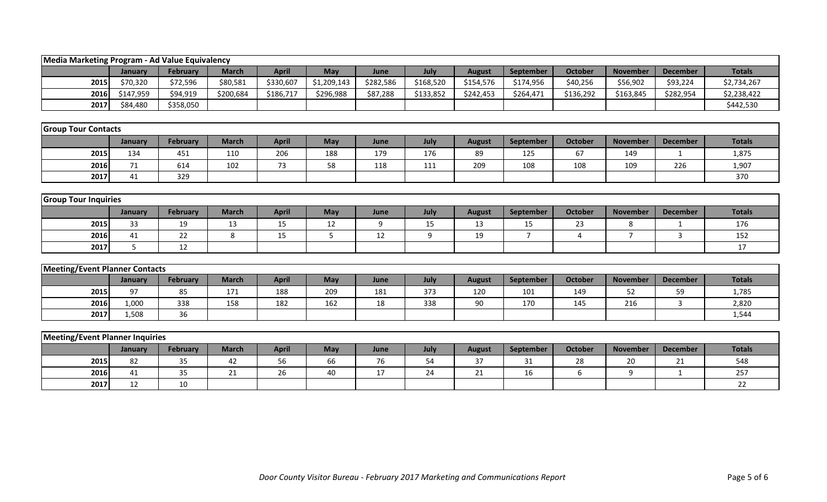| Media Marketing Program - Ad Value Equivalency |           |                 |              |              |             |           |           |               |                  |                |                 |                 |               |
|------------------------------------------------|-----------|-----------------|--------------|--------------|-------------|-----------|-----------|---------------|------------------|----------------|-----------------|-----------------|---------------|
|                                                | January   | <b>February</b> | <b>March</b> | <b>April</b> | May         | June      | July      | <b>August</b> | <b>September</b> | <b>October</b> | <b>November</b> | <b>December</b> | <b>Totals</b> |
| 2015                                           | \$70,320  | \$72,596        | \$80,581     | \$330,607    | \$1,209,143 | \$282,586 | \$168,520 | \$154,576     | \$174,956        | \$40,256       | \$56,902        | \$93,224        | \$2,734,267   |
| 2016                                           | \$147,959 | \$94,919        | \$200,684    | \$186,717    | \$296,988   | \$87,288  | \$133,852 | \$242,453     | \$264,471        | \$136,292      | \$163,845       | \$282,954       | \$2,238,422   |
| 2017                                           | \$84,480  | \$358,050       |              |              |             |           |           |               |                  |                |                 |                 | \$442,530     |
|                                                |           |                 |              |              |             |           |           |               |                  |                |                 |                 |               |
| <b>Group Tour Contacts</b>                     |           |                 |              |              |             |           |           |               |                  |                |                 |                 |               |
|                                                | January   | February        | <b>March</b> | <b>April</b> | May         | June      | July      | <b>August</b> | September        | <b>October</b> | <b>November</b> | <b>December</b> | <b>Totals</b> |
| 2015                                           | 134       | 451             | 110          | 206          | 188         | 179       | 176       | 89            | 125              | 67             | 149             | 1               | 1,875         |
| 2016                                           | $71\,$    | 614             | 102          | 73           | 58          | 118       | 111       | 209           | 108              | 108            | 109             | 226             | 1,907         |
| 2017                                           | 41        | 329             |              |              |             |           |           |               |                  |                |                 |                 | 370           |
|                                                |           |                 |              |              |             |           |           |               |                  |                |                 |                 |               |
| <b>Group Tour Inquiries</b>                    |           |                 |              |              |             |           |           |               |                  |                |                 |                 |               |
|                                                | January   | <b>February</b> | <b>March</b> | <b>April</b> | May         | June      | July      | <b>August</b> | September        | <b>October</b> | <b>November</b> | <b>December</b> | <b>Totals</b> |
| 2015                                           | 33        | 19              | 13           | 15           | 12          | 9         | 15        | 13            | 15               | 23             | 8               | $\mathbf{1}$    | 176           |
| 2016                                           | 41        | 22              | 8            | 15           | 5           | 12        | 9         | 19            | $\overline{7}$   | $\overline{4}$ | $\overline{ }$  | 3               | 152           |
| 2017                                           | 5         | 12              |              |              |             |           |           |               |                  |                |                 |                 | 17            |
|                                                |           |                 |              |              |             |           |           |               |                  |                |                 |                 |               |
| <b>Meeting/Event Planner Contacts</b>          |           |                 |              |              |             |           |           |               |                  |                |                 |                 |               |
|                                                | January   | February        | <b>March</b> | <b>April</b> | May         | June      | July      | <b>August</b> | September        | <b>October</b> | <b>November</b> | <b>December</b> | <b>Totals</b> |
| 2015                                           | 97        | 85              | 171          | 188          | 209         | 181       | 373       | 120           | 101              | 149            | 52              | 59              | 1,785         |
| 2016                                           | 1,000     | 338             | 158          | 182          | 162         | 18        | 338       | 90            | 170              | 145            | 216             | 3               | 2,820         |
| 2017                                           | 1,508     | 36              |              |              |             |           |           |               |                  |                |                 |                 | 1,544         |
|                                                |           |                 |              |              |             |           |           |               |                  |                |                 |                 |               |
| Meeting/Event Planner Inquiries                |           |                 |              |              |             |           |           |               |                  |                |                 |                 |               |
|                                                | January   | February        | <b>March</b> | <b>April</b> | May         | June      | July      | <b>August</b> | September        | <b>October</b> | <b>November</b> | <b>December</b> | <b>Totals</b> |
| 2015                                           | 82        | 35              | 42           | 56           | 66          | 76        | 54        | 37            | 31               | 28             | 20              | 21              | 548           |
| 2016                                           | 41        | 35              | 21           | 26           | 40          | 17        | 24        | 21            | 16               | 6              | 9               | $\mathbf{1}$    | 257           |
| 2017                                           | 12        | 10              |              |              |             |           |           |               |                  |                |                 |                 | 22            |